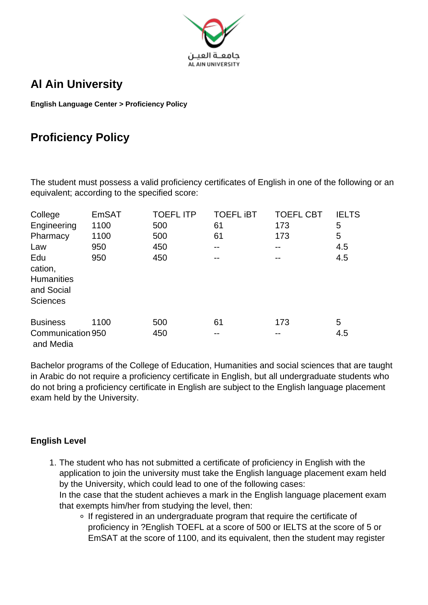

## **Al Ain University**

**English Language Center > Proficiency Policy**

## **Proficiency Policy**

The student must possess a valid proficiency certificates of English in one of the following or an equivalent; according to the specified score:

| College                                                              | <b>EmSAT</b> | <b>TOEFL ITP</b> | <b>TOEFL IBT</b> | <b>TOEFL CBT</b> | <b>IELTS</b> |
|----------------------------------------------------------------------|--------------|------------------|------------------|------------------|--------------|
| Engineering                                                          | 1100         | 500              | 61               | 173              | 5            |
| Pharmacy                                                             | 1100         | 500              | 61               | 173              | 5            |
| Law                                                                  | 950          | 450              | --               |                  | 4.5          |
| Edu<br>cation,<br><b>Humanities</b><br>and Social<br><b>Sciences</b> | 950          | 450              |                  |                  | 4.5          |
| <b>Business</b>                                                      | 1100         | 500              | 61               | 173              | 5            |
| Communication 950<br>and Media                                       |              | 450              | --               | --               | 4.5          |

Bachelor programs of the College of Education, Humanities and social sciences that are taught in Arabic do not require a proficiency certificate in English, but all undergraduate students who do not bring a proficiency certificate in English are subject to the English language placement exam held by the University.

## **English Level**

- 1. The student who has not submitted a certificate of proficiency in English with the application to join the university must take the English language placement exam held by the University, which could lead to one of the following cases: In the case that the student achieves a mark in the English language placement exam that exempts him/her from studying the level, then:
	- If registered in an undergraduate program that require the certificate of proficiency in ?English TOEFL at a score of 500 or IELTS at the score of 5 or EmSAT at the score of 1100, and its equivalent, then the student may register